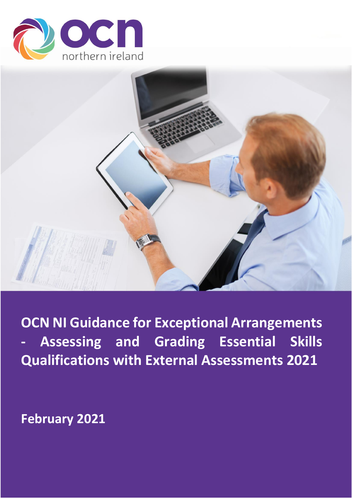



**OCN NI Guidance for Exceptional Arrangements - Assessing and Grading Essential Skills Qualifications with External Assessments 2021**

**February 2021**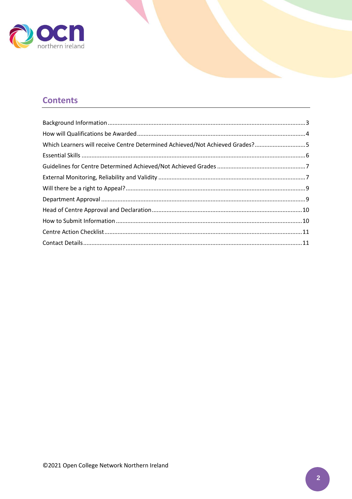

# **Contents**

| Which Learners will receive Centre Determined Achieved/Not Achieved Grades?5 |  |
|------------------------------------------------------------------------------|--|
|                                                                              |  |
|                                                                              |  |
|                                                                              |  |
|                                                                              |  |
|                                                                              |  |
|                                                                              |  |
|                                                                              |  |
|                                                                              |  |
|                                                                              |  |
|                                                                              |  |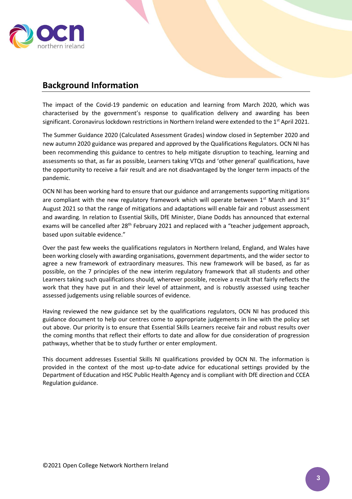

# <span id="page-2-0"></span>**Background Information**

The impact of the Covid-19 pandemic on education and learning from March 2020, which was characterised by the government's response to qualification delivery and awarding has been significant. Coronavirus lockdown restrictions in Northern Ireland were extended to the 1 $^{\rm st}$  April 2021.

The Summer Guidance 2020 (Calculated Assessment Grades) window closed in September 2020 and new autumn 2020 guidance was prepared and approved by the Qualifications Regulators. OCN NI has been recommending this guidance to centres to help mitigate disruption to teaching, learning and assessments so that, as far as possible, Learners taking VTQs and 'other general' qualifications, have the opportunity to receive a fair result and are not disadvantaged by the longer term impacts of the pandemic.

OCN NI has been working hard to ensure that our guidance and arrangements supporting mitigations are compliant with the new regulatory framework which will operate between  $1<sup>st</sup>$  March and  $31<sup>st</sup>$ August 2021 so that the range of mitigations and adaptations will enable fair and robust assessment and awarding. In relation to Essential Skills, DfE Minister, Diane Dodds has announced that external exams will be cancelled after 28<sup>th</sup> February 2021 and replaced with a "teacher judgement approach, based upon suitable evidence."

Over the past few weeks the qualifications regulators in Northern Ireland, England, and Wales have been working closely with awarding organisations, government departments, and the wider sector to agree a new framework of extraordinary measures. This new framework will be based, as far as possible, on the 7 principles of the new interim regulatory framework that all students and other Learners taking such qualifications should, wherever possible, receive a result that fairly reflects the work that they have put in and their level of attainment, and is robustly assessed using teacher assessed judgements using reliable sources of evidence.

Having reviewed the new guidance set by the qualifications regulators, OCN NI has produced this guidance document to help our centres come to appropriate judgements in line with the policy set out above. Our priority is to ensure that Essential Skills Learners receive fair and robust results over the coming months that reflect their efforts to date and allow for due consideration of progression pathways, whether that be to study further or enter employment.

This document addresses Essential Skills NI qualifications provided by OCN NI. The information is provided in the context of the most up-to-date advice for educational settings provided by the Department of Education and HSC Public Health Agency and is compliant with DfE direction and CCEA Regulation guidance.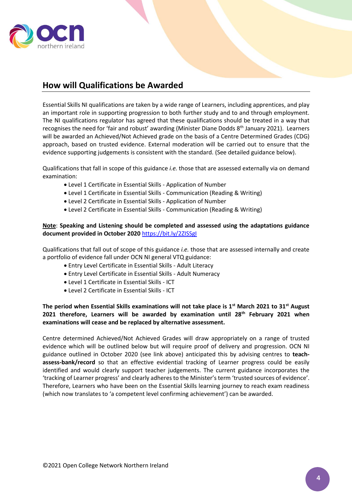

# <span id="page-3-0"></span>**How will Qualifications be Awarded**

Essential Skills NI qualifications are taken by a wide range of Learners, including apprentices, and play an important role in supporting progression to both further study and to and through employment. The NI qualifications regulator has agreed that these qualifications should be treated in a way that recognises the need for 'fair and robust' awarding (Minister Diane Dodds 8<sup>th</sup> January 2021). Learners will be awarded an Achieved/Not Achieved grade on the basis of a Centre Determined Grades (CDG) approach, based on trusted evidence. External moderation will be carried out to ensure that the evidence supporting judgements is consistent with the standard. (See detailed guidance below).

Qualifications that fall in scope of this guidance *i.e.* those that are assessed externally via on demand examination:

- Level 1 Certificate in Essential Skills Application of Number
- Level 1 Certificate in Essential Skills Communication (Reading & Writing)
- Level 2 Certificate in Essential Skills Application of Number
- Level 2 Certificate in Essential Skills Communication (Reading & Writing)

#### **Note**: **Speaking and Listening should be completed and assessed using the adaptations guidance document provided in October 2020** <https://bit.ly/2ZISSgI>

Qualifications that fall out of scope of this guidance *i.e.* those that are assessed internally and create a portfolio of evidence fall under OCN NI general VTQ guidance:

- Entry Level Certificate in Essential Skills Adult Literacy
- Entry Level Certificate in Essential Skills Adult Numeracy
- Level 1 Certificate in Essential Skills ICT
- Level 2 Certificate in Essential Skills ICT

#### **The period when Essential Skills examinations will not take place is 1st March 2021 to 31st August 2021 therefore, Learners will be awarded by examination until 28th February 2021 when examinations will cease and be replaced by alternative assessment.**

Centre determined Achieved/Not Achieved Grades will draw appropriately on a range of trusted evidence which will be outlined below but will require proof of delivery and progression. OCN NI guidance outlined in October 2020 (see link above) anticipated this by advising centres to **teachassess-bank/record** so that an effective evidential tracking of Learner progress could be easily identified and would clearly support teacher judgements. The current guidance incorporates the 'tracking of Learner progress' and clearly adheres to the Minister's term 'trusted sources of evidence'. Therefore, Learners who have been on the Essential Skills learning journey to reach exam readiness (which now translates to 'a competent level confirming achievement') can be awarded.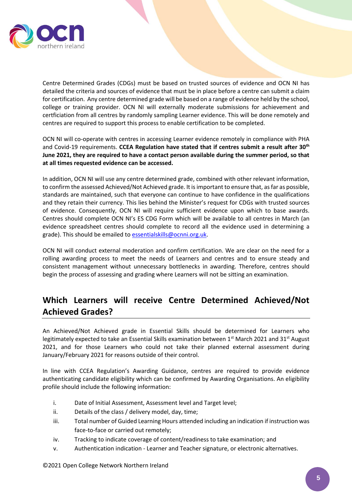

Centre Determined Grades (CDGs) must be based on trusted sources of evidence and OCN NI has detailed the criteria and sources of evidence that must be in place before a centre can submit a claim for certification. Any centre determined grade will be based on a range of evidence held by the school, college or training provider. OCN NI will externally moderate submissions for achievement and certficiation from all centres by randomly sampling Learner evidence. This will be done remotely and centres are required to support this process to enable certification to be completed.

OCN NI will co-operate with centres in accessing Learner evidence remotely in compliance with PHA and Covid-19 requirements. **CCEA Regulation have stated that if centres submit a result after 30th June 2021, they are required to have a contact person available during the summer period, so that at all times requested evidence can be accessed.**

In addition, OCN NI will use any centre determined grade, combined with other relevant information, to confirm the assessed Achieved/Not Achieved grade. It isimportant to ensure that, as far as possible, standards are maintained, such that everyone can continue to have confidence in the qualifications and they retain their currency. This lies behind the Minister's request for CDGs with trusted sources of evidence. Consequently, OCN NI will require sufficient evidence upon which to base awards. Centres should complete OCN NI's ES CDG Form which will be available to all centres in March (an evidence spreadsheet centres should complete to record all the evidence used in determining a grade). This should be emailed to [essentialskills@ocnni.org.uk.](mailto:essentialskills@ocnni.org.uk)

OCN NI will conduct external moderation and confirm certification. We are clear on the need for a rolling awarding process to meet the needs of Learners and centres and to ensure steady and consistent management without unnecessary bottlenecks in awarding. Therefore, centres should begin the process of assessing and grading where Learners will not be sitting an examination.

# <span id="page-4-0"></span>**Which Learners will receive Centre Determined Achieved/Not Achieved Grades?**

An Achieved/Not Achieved grade in Essential Skills should be determined for Learners who legitimately expected to take an Essential Skills examination between  $1<sup>st</sup>$  March 2021 and 31<sup>st</sup> August 2021, and for those Learners who could not take their planned external assessment during January/February 2021 for reasons outside of their control.

In line with CCEA Regulation's Awarding Guidance, centres are required to provide evidence authenticating candidate eligibility which can be confirmed by Awarding Organisations. An eligibility profile should include the following information:

- i. Date of Initial Assessment, Assessment level and Target level;
- ii. Details of the class / delivery model, day, time;
- iii. Total number of Guided Learning Hours attended including an indication if instruction was face-to-face or carried out remotely;
- iv. Tracking to indicate coverage of content/readiness to take examination; and
- v. Authentication indication Learner and Teacher signature, or electronic alternatives.

©2021 Open College Network Northern Ireland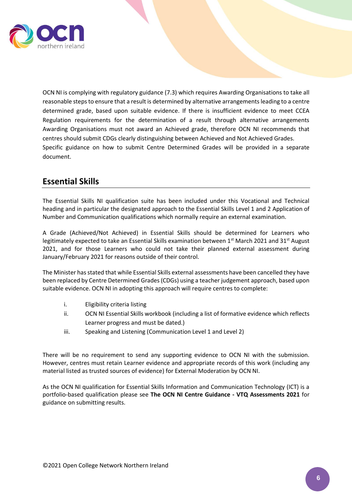

OCN NI is complying with regulatory guidance (7.3) which requires Awarding Organisations to take all reasonable steps to ensure that a result is determined by alternative arrangements leading to a centre determined grade, based upon suitable evidence. If there is insufficient evidence to meet CCEA Regulation requirements for the determination of a result through alternative arrangements Awarding Organisations must not award an Achieved grade, therefore OCN NI recommends that centres should submit CDGs clearly distinguishing between Achieved and Not Achieved Grades. Specific guidance on how to submit Centre Determined Grades will be provided in a separate document.

# <span id="page-5-0"></span>**Essential Skills**

The Essential Skills NI qualification suite has been included under this Vocational and Technical heading and in particular the designated approach to the Essential Skills Level 1 and 2 Application of Number and Communication qualifications which normally require an external examination.

A Grade (Achieved/Not Achieved) in Essential Skills should be determined for Learners who legitimately expected to take an Essential Skills examination between 1<sup>st</sup> March 2021 and 31<sup>st</sup> August 2021, and for those Learners who could not take their planned external assessment during January/February 2021 for reasons outside of their control.

The Minister has stated that while Essential Skills external assessments have been cancelled they have been replaced by Centre Determined Grades (CDGs) using a teacher judgement approach, based upon suitable evidence. OCN NI in adopting this approach will require centres to complete:

- i. Eligibility criteria listing
- ii. OCN NI Essential Skills workbook (including a list of formative evidence which reflects Learner progress and must be dated.)
- iii. Speaking and Listening (Communication Level 1 and Level 2)

There will be no requirement to send any supporting evidence to OCN NI with the submission. However, centres must retain Learner evidence and appropriate records of this work (including any material listed as trusted sources of evidence) for External Moderation by OCN NI.

As the OCN NI qualification for Essential Skills Information and Communication Technology (ICT) is a portfolio-based qualification please see **The OCN NI Centre Guidance - VTQ Assessments 2021** for guidance on submitting results.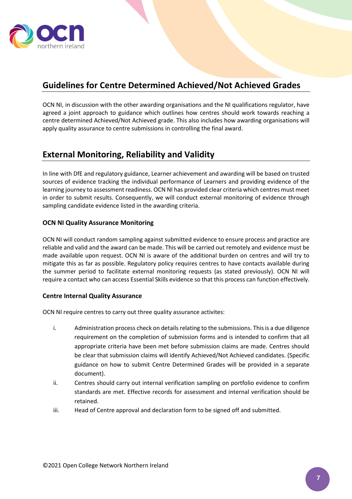

# <span id="page-6-0"></span>**Guidelines for Centre Determined Achieved/Not Achieved Grades**

OCN NI, in discussion with the other awarding organisations and the NI qualifications regulator, have agreed a joint approach to guidance which outlines how centres should work towards reaching a centre determined Achieved/Not Achieved grade. This also includes how awarding organisations will apply quality assurance to centre submissions in controlling the final award.

# <span id="page-6-1"></span>**External Monitoring, Reliability and Validity**

In line with DfE and regulatory guidance, Learner achievement and awarding will be based on trusted sources of evidence tracking the individual performance of Learners and providing evidence of the learning journey to assessment readiness. OCN NI has provided clear criteria which centres must meet in order to submit results. Consequently, we will conduct external monitoring of evidence through sampling candidate evidence listed in the awarding criteria.

#### **OCN NI Quality Assurance Monitoring**

OCN NI will conduct random sampling against submitted evidence to ensure process and practice are reliable and valid and the award can be made. This will be carried out remotely and evidence must be made available upon request. OCN NI is aware of the additional burden on centres and will try to mitigate this as far as possible. Regulatory policy requires centres to have contacts available during the summer period to facilitate external monitoring requests (as stated previously). OCN NI will require a contact who can access Essential Skills evidence so that this process can function effectively.

#### **Centre Internal Quality Assurance**

OCN NI require centres to carry out three quality assurance activites:

- i. Administration process check on details relating to the submissions. This is a due diligence requirement on the completion of submission forms and is intended to confirm that all appropriate criteria have been met before submission claims are made. Centres should be clear that submission claims will identify Achieved/Not Achieved candidates. (Specific guidance on how to submit Centre Determined Grades will be provided in a separate document).
- ii. Centres should carry out internal verification sampling on portfolio evidence to confirm standards are met. Effective records for assessment and internal verification should be retained.
- iii. Head of Centre approval and declaration form to be signed off and submitted.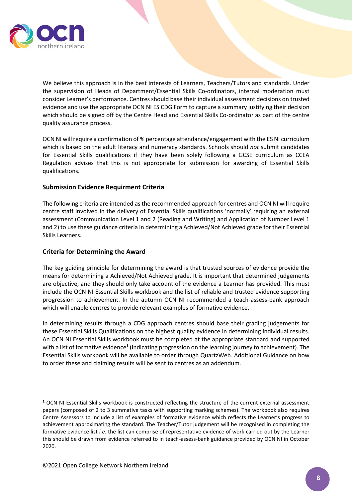

We believe this approach is in the best interests of Learners, Teachers/Tutors and standards. Under the supervision of Heads of Department/Essential Skills Co-ordinators, internal moderation must consider Learner's performance. Centres should base their individual assessment decisions on trusted evidence and use the appropriate OCN NI ES CDG Form to capture a summary justifying their decision which should be signed off by the Centre Head and Essential Skills Co-ordinator as part of the centre quality assurance process.

OCN NI will require a confirmation of % percentage attendance/engagement with the ES NI curriculum which is based on the adult literacy and numeracy standards. Schools should *not* submit candidates for Essential Skills qualifications if they have been solely following a GCSE curriculum as CCEA Regulation advises that this is not appropriate for submission for awarding of Essential Skills qualifications.

#### **Submission Evidence Requirment Criteria**

The following criteria are intended as the recommended approach for centres and OCN NI will require centre staff involved in the delivery of Essential Skills qualifications 'normally' requiring an external assessment (Communication Level 1 and 2 (Reading and Writing) and Application of Number Level 1 and 2) to use these guidance criteria in determining a Achieved/Not Achieved grade for their Essential Skills Learners.

#### **Criteria for Determining the Award**

The key guiding principle for determining the award is that trusted sources of evidence provide the means for determining a Achieved/Not Achieved grade. It is important that determined judgements are objective, and they should only take account of the evidence a Learner has provided. This must include the OCN NI Essential Skills workbook and the list of reliable and trusted evidence supporting progression to achievement. In the autumn OCN NI recommended a teach-assess-bank approach which will enable centres to provide relevant examples of formative evidence.

In determining results through a CDG approach centres should base their grading judgements for these Essential Skills Qualifications on the highest quality evidence in determining individual results. An OCN NI Essential Skills workbook must be completed at the appropriate standard and supported with a list of formative evidence**<sup>1</sup>** (indicating progression on the learning journey to achievement). The Essential Skills workbook will be available to order through QuartzWeb. Additional Guidance on how to order these and claiming results will be sent to centres as an addendum.

**<sup>1</sup>** OCN NI Essential Skills workbook is constructed reflecting the structure of the current external assessment papers (composed of 2 to 3 summative tasks with supporting marking schemes). The workbook also requires Centre Assessors to include a list of examples of formative evidence which reflects the Learner's progress to achievement approximating the standard. The Teacher/Tutor judgement will be recognised in completing the formative evidence list *i.e.* the list can comprise of representative evidence of work carried out by the Learner this should be drawn from evidence referred to in teach-assess-bank guidance provided by OCN NI in October 2020.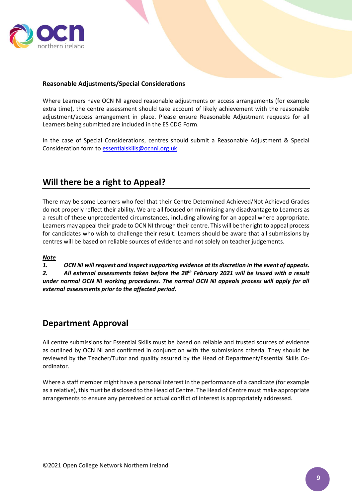

#### **Reasonable Adjustments/Special Considerations**

Where Learners have OCN NI agreed reasonable adjustments or access arrangements (for example extra time), the centre assessment should take account of likely achievement with the reasonable adjustment/access arrangement in place. Please ensure Reasonable Adjustment requests for all Learners being submitted are included in the ES CDG Form.

In the case of Special Considerations, centres should submit a Reasonable Adjustment & Special Consideration form to [essentialskills@ocnni.org.uk](mailto:essentialskills@ocnni.org.uk)

### <span id="page-8-0"></span>**Will there be a right to Appeal?**

There may be some Learners who feel that their Centre Determined Achieved/Not Achieved Grades do not properly reflect their ability. We are all focused on minimising any disadvantage to Learners as a result of these unprecedented circumstances, including allowing for an appeal where appropriate. Learners may appeal their grade to OCN NI through their centre. This will be the right to appeal process for candidates who wish to challenge their result. Learners should be aware that all submissions by centres will be based on reliable sources of evidence and not solely on teacher judgements.

#### *Note*

*1. OCN NI will request and inspect supporting evidence at its discretion in the event of appeals. 2. All external assessments taken before the 28th February 2021 will be issued with a result under normal OCN NI working procedures. The normal OCN NI appeals process will apply for all external assessments prior to the affected period.*

### <span id="page-8-1"></span>**Department Approval**

All centre submissions for Essential Skills must be based on reliable and trusted sources of evidence as outlined by OCN NI and confirmed in conjunction with the submissions criteria. They should be reviewed by the Teacher/Tutor and quality assured by the Head of Department/Essential Skills Coordinator.

Where a staff member might have a personal interest in the performance of a candidate (for example as a relative), this must be disclosed to the Head of Centre. The Head of Centre must make appropriate arrangements to ensure any perceived or actual conflict of interest is appropriately addressed.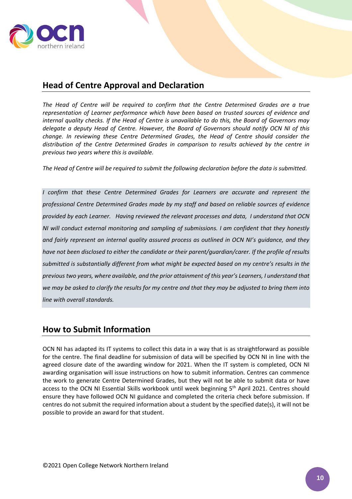

# <span id="page-9-0"></span>**Head of Centre Approval and Declaration**

*The Head of Centre will be required to confirm that the Centre Determined Grades are a true representation of Learner performance which have been based on trusted sources of evidence and internal quality checks. If the Head of Centre is unavailable to do this, the Board of Governors may delegate a deputy Head of Centre. However, the Board of Governors should notify OCN NI of this change. In reviewing these Centre Determined Grades, the Head of Centre should consider the distribution of the Centre Determined Grades in comparison to results achieved by the centre in previous two years where this is available.*

*The Head of Centre will be required to submit the following declaration before the data is submitted.* 

*I confirm that these Centre Determined Grades for Learners are accurate and represent the professional Centre Determined Grades made by my staff and based on reliable sources of evidence provided by each Learner. Having reviewed the relevant processes and data, I understand that OCN NI will conduct external monitoring and sampling of submissions. I am confident that they honestly and fairly represent an internal quality assured process as outlined in OCN NI's guidance, and they have not been disclosed to either the candidate or their parent/guardian/carer. If the profile of results submitted is substantially different from what might be expected based on my centre's results in the previous two years, where available, and the prior attainment of this year's Learners, I understand that we may be asked to clarify the results for my centre and that they may be adjusted to bring them into line with overall standards.*

## <span id="page-9-1"></span>**How to Submit Information**

OCN NI has adapted its IT systems to collect this data in a way that is as straightforward as possible for the centre. The final deadline for submission of data will be specified by OCN NI in line with the agreed closure date of the awarding window for 2021. When the IT system is completed, OCN NI awarding organisation will issue instructions on how to submit information. Centres can commence the work to generate Centre Determined Grades, but they will not be able to submit data or have access to the OCN NI Essential Skills workbook until week beginning 5<sup>th</sup> April 2021. Centres should ensure they have followed OCN NI guidance and completed the criteria check before submission. If centres do not submit the required information about a student by the specified date(s), it will not be possible to provide an award for that student.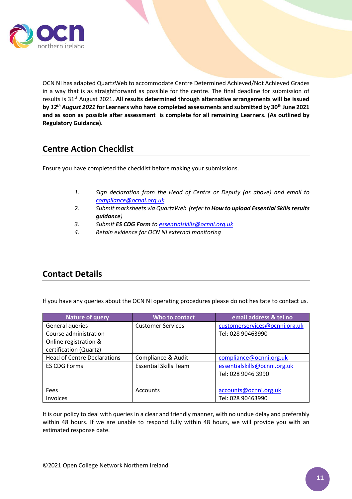

OCN NI has adapted QuartzWeb to accommodate Centre Determined Achieved/Not Achieved Grades in a way that is as straightforward as possible for the centre. The final deadline for submission of results is 31st August 2021. **All results determined through alternative arrangements will be issued by** *12th August 2021* **for Learners who have completed assessments and submitted by 30th June 2021 and as soon as possible after assessment is complete for all remaining Learners. (As outlined by Regulatory Guidance).**

## <span id="page-10-0"></span>**Centre Action Checklist**

Ensure you have completed the checklist before making your submissions.

- *1. Sign declaration from the Head of Centre or Deputy (as above) and email to [compliance@ocnni.org.uk](mailto:compliance@ocnni.org.uk)*
- *2. Submit marksheets via QuartzWeb (refer to How to upload Essential Skills results guidance)*
- *3. Submit ES CDG Form to [essentialskills@ocnni.org.uk](mailto:essentialskills@ocnni.org.uk)*
- *4. Retain evidence for OCN NI external monitoring*

# <span id="page-10-1"></span>**Contact Details**

If you have any queries about the OCN NI operating procedures please do not hesitate to contact us.

| Nature of query                    | Who to contact               | email address & tel no        |
|------------------------------------|------------------------------|-------------------------------|
| General queries                    | <b>Customer Services</b>     | customerservices@ocnni.org.uk |
| Course administration              |                              | Tel: 028 90463990             |
| Online registration &              |                              |                               |
| certification (Quartz)             |                              |                               |
| <b>Head of Centre Declarations</b> | Compliance & Audit           | compliance@ocnni.org.uk       |
| <b>ES CDG Forms</b>                | <b>Essential Skills Team</b> | essentialskills@ocnni.org.uk  |
|                                    |                              | Tel: 028 9046 3990            |
|                                    |                              |                               |
| Fees                               | Accounts                     | accounts@ocnni.org.uk         |
| <b>Invoices</b>                    |                              | Tel: 028 90463990             |

It is our policy to deal with queries in a clear and friendly manner, with no undue delay and preferably within 48 hours. If we are unable to respond fully within 48 hours, we will provide you with an estimated response date.